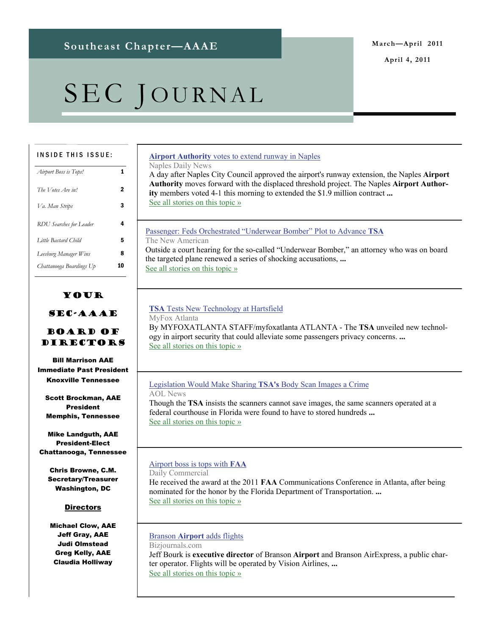**April 4, 2011** 

# SEC JOURNAL

#### INSIDE THIS ISSUE:

| Airport Boss is Tops!          |   |
|--------------------------------|---|
| The Votes Are in!              | 2 |
| Va. Man Strips                 | 3 |
| <b>RDU</b> Searches for Leader | 4 |
| Little Bastard Child           | 5 |
| Leesburg Manager Wins          | 8 |
| Chattanooga Boardings Up       |   |
|                                |   |

#### Your

#### SEC-AAAE

#### Board of Directors

Bill Marrison AAE Immediate Past President Knoxville Tennessee

Scott Brockman, AAE President Memphis, Tennessee

Mike Landguth, AAE President-Elect Chattanooga, Tennessee

Chris Browne, C.M. Secretary/Treasurer Washington, DC

#### **Directors**

Michael Clow, AAE Jeff Gray, AAE Judi Olmstead Greg Kelly, AAE Claudia Holliway

#### **Airport Authority** [votes to extend runway in Naples](http://www.google.com/url?sa=X&q=http://www.naplesnews.com/news/2011/mar/17/airport-authority-votes-extend-runway-naples/&ct=ga&cad=CAEQARgAIAAoATAAOABA6_WI7ARIAVAAWABiAmVu&cd=G6WTmcptVQU&usg=AFQjCNHJ0cA6rawTUI0xW7rAGF9Q4EWYdA)

Naples Daily News

A day after Naples City Council approved the airport's runway extension, the Naples **Airport Authority** moves forward with the displaced threshold project. The Naples **Airport Authority** members voted 4-1 this morning to extended the \$1.9 million contract **...** [See all stories on this topic »](http://www.google.com/url?sa=X&q=http://news.google.com/news/story%3Fncl%3Dhttp://www.naplesnews.com/news/2011/mar/17/airport-authority-votes-extend-runway-naples/%26hl%3Den%26geo%3Dus&ct=ga&cad=CAEQARgAIAAoBjAAOABA6_WI7ARIAVAAWABiAmVu&cd=G6WTmcptVQU&usg=AFQjCNGKAprCOsIVL6GxNnl3W3zvBusICw)

#### [Passenger: Feds Orchestrated "Underwear Bomber" Plot to Advance](http://www.google.com/url?sa=X&q=http://www.thenewamerican.com/index.php/usnews/crime/6158-passenger-feds-orchestrated-underwear-bomber-plot-to-advance-terror-war-tsa&ct=ga&cad=CAEQARgAIAAoATAAOABAssKn6gRIAVAAWABiAmVu&cd=EABT-liRK7M&usg=AFQjCNH5yuiLTAx9BrKNGh6eNJVZ69MOCA) **TSA** The New American Outside a court hearing for the so-called "Underwear Bomber," an attorney who was on board the targeted plane renewed a series of shocking accusations, **...**

[See all stories on this topic »](http://www.google.com/url?sa=X&q=http://news.google.com/news/story%3Fncl%3Dhttp://www.thenewamerican.com/index.php/usnews/crime/6158-passenger-feds-orchestrated-underwear-bomber-plot-to-advance-terror-war-tsa%26hl%3Den%26geo%3Dus&ct=ga&cad=CAEQARgAIAAoBjAAOABAssKn6gRIAVAAWABiAmVu&cd=EABT-liRK7M&usg=AFQjCNF60LfEqwm0P2OEo--qNGoRMkkLXg)

#### **TSA** [Tests New Technology at Hartsfield](http://www.google.com/url?sa=X&q=http://www.myfoxatlanta.com/dpp/news/local_news/TSA-Tests-New-Software-at-Hartsfield-Jackson-Airport-20110208-pm-sd&ct=ga&cad=CAEQARgAIAAoATABOAFA_djG6gRIAVAAWABiAmVu&cd=q61LYOWue70&usg=AFQjCNElZWB9r9_WlBrylFBbCQkA45BtPA)

MyFox Atlanta

By MYFOXATLANTA STAFF/myfoxatlanta ATLANTA - The **TSA** unveiled new technology in airport security that could alleviate some passengers privacy concerns. **...** [See all stories on this topic »](http://www.google.com/url?sa=X&q=http://news.google.com/news/story%3Fncl%3Dhttp://www.myfoxatlanta.com/dpp/news/local_news/TSA-Tests-New-Software-at-Hartsfield-Jackson-Airport-20110208-pm-sd%26hl%3Den%26geo%3Dus&ct=ga&cad=CAEQARgAIAAoBjABOAFA_djG6gRIAVAAWABiAmVu&cd=q61LYOWue70&usg=AFQjCNGKwZWaEs7ED0HWW9Dhtru5KPl8fg)

#### [Legislation Would Make Sharing](http://www.google.com/url?sa=X&q=http://www.aolnews.com/2011/02/08/legislation-would-make-sharing-tsas-body-scan-images-a-crime/&ct=ga&cad=CAEQARgAIAAoATAAOABA_djG6gRIAVAAWABiAmVu&cd=q61LYOWue70&usg=AFQjCNFl_uHudj2EGyIfMDjSjBuLio4zpQ) **TSA's** Body Scan Images a Crime

AOL News Though the **TSA** insists the scanners cannot save images, the same scanners operated at a federal courthouse in Florida were found to have to stored hundreds **...** [See all stories on this topic »](http://www.google.com/url?sa=X&q=http://news.google.com/news/story%3Fncl%3Dhttp://www.aolnews.com/2011/02/08/legislation-would-make-sharing-tsas-body-scan-images-a-crime/%26hl%3Den%26geo%3Dus&ct=ga&cad=CAEQARgAIAAoBjAAOABA_djG6gRIAVAAWABiAmVu&cd=q61LYOWue70&usg=AFQjCNF2_TDPlcQCgFsBL0NuD5T1wLR5dQ)

#### [Airport boss is tops with](http://www.google.com/url?sa=X&q=http://www.dailycommercial.com/localnews/story/020911Weller-&ct=ga&cad=CAcQARgAIAAoATAAOABAtrLK6gRIAVAAWABiBWVuLVVT&cd=SfMMOZOo_WY&usg=AFQjCNF4WN-C6jp4Xe6smsDa4ikqP_2c6g) **FAA**

Daily Commercial He received the award at the 2011 **FAA** Communications Conference in Atlanta, after being nominated for the honor by the Florida Department of Transportation. **...** [See all stories on this topic »](http://www.google.com/url?sa=X&q=http://news.google.com/news/story%3Fncl%3Dhttp://www.dailycommercial.com/localnews/story/020911Weller-%26hl%3Den%26geo%3Dus&ct=ga&cad=CAcQARgAIAAoBjAAOABAtrLK6gRIAVAAWABiBWVuLVVT&cd=SfMMOZOo_WY&usg=AFQjCNFW66ph6AOISH77TE0AqU9ShA-HAA)

#### Branson **Airport** [adds flights](http://www.google.com/url?sa=X&q=http://www.bizjournals.com/stlouis/news/2011/02/07/branson-airport-adds-flights.html&ct=ga&cad=CAEQAhgAIAAoATAAOABAqcLA6gRIAVAAWABiAmVu&cd=I4WncjzxuRQ&usg=AFQjCNHt_3idXf7H13NbMKvq2-V4Eumi7A)

Bizjournals.com Jeff Bourk is **executive director** of Branson **Airport** and Branson AirExpress, a public charter operator. Flights will be operated by Vision Airlines, **...** [See all stories on this topic »](http://www.google.com/url?sa=X&q=http://news.google.com/news/story%3Fncl%3Dhttp://www.bizjournals.com/stlouis/news/2011/02/07/branson-airport-adds-flights.html%26hl%3Den%26geo%3Dus&ct=ga&cad=CAEQAhgAIAAoBjAAOABAqcLA6gRIAVAAWABiAmVu&cd=I4WncjzxuRQ&usg=AFQjCNEcJ_XfHkOnYUlTV2URkB-WJNyZ5g)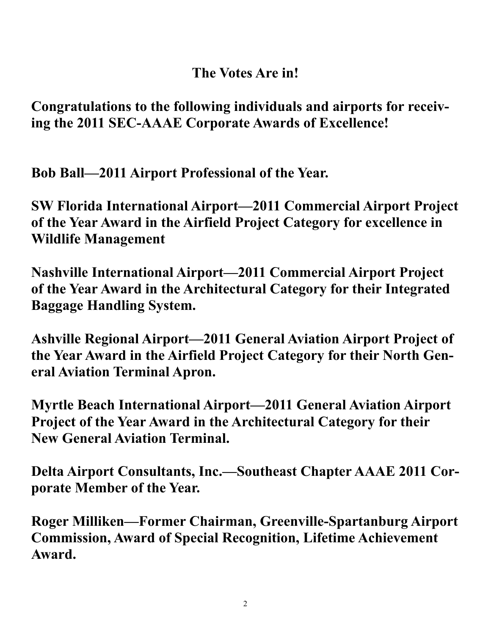### **The Votes Are in!**

**Congratulations to the following individuals and airports for receiving the 2011 SEC-AAAE Corporate Awards of Excellence!** 

**Bob Ball—2011 Airport Professional of the Year.** 

**SW Florida International Airport—2011 Commercial Airport Project of the Year Award in the Airfield Project Category for excellence in Wildlife Management** 

**Nashville International Airport—2011 Commercial Airport Project of the Year Award in the Architectural Category for their Integrated Baggage Handling System.** 

**Ashville Regional Airport—2011 General Aviation Airport Project of the Year Award in the Airfield Project Category for their North General Aviation Terminal Apron.** 

**Myrtle Beach International Airport—2011 General Aviation Airport Project of the Year Award in the Architectural Category for their New General Aviation Terminal.** 

**Delta Airport Consultants, Inc.—Southeast Chapter AAAE 2011 Corporate Member of the Year.** 

**Roger Milliken—Former Chairman, Greenville-Spartanburg Airport Commission, Award of Special Recognition, Lifetime Achievement Award.**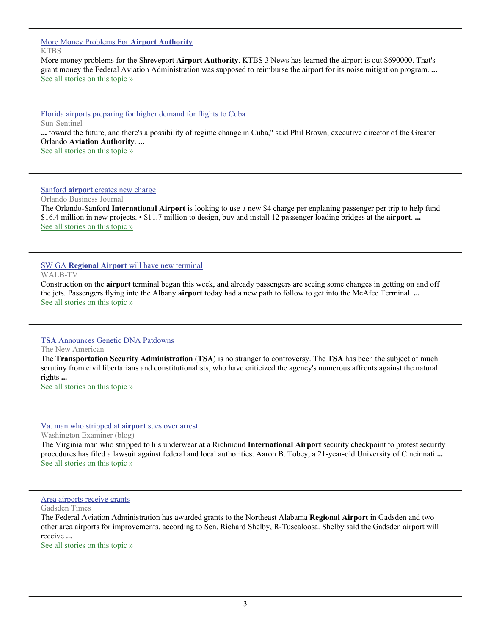#### [More Money Problems For](http://www.google.com/url?sa=X&q=http://www.ktbs.com/news/27227513/detail.html&ct=ga&cad=CAEQARgAIAAoATABOAFA6_WI7ARIAVAAWABiAmVu&cd=G6WTmcptVQU&usg=AFQjCNHnmhA7M3XsWrcEpoyYSEGni_zs0g) **Airport Authority KTBS**

More money problems for the Shreveport **Airport Authority**. KTBS 3 News has learned the airport is out \$690000. That's grant money the Federal Aviation Administration was supposed to reimburse the airport for its noise mitigation program. **...** [See all stories on this topic »](http://www.google.com/url?sa=X&q=http://news.google.com/news/story%3Fncl%3Dhttp://www.ktbs.com/news/27227513/detail.html%26hl%3Den%26geo%3Dus&ct=ga&cad=CAEQARgAIAAoBjABOAFA6_WI7ARIAVAAWABiAmVu&cd=G6WTmcptVQU&usg=AFQjCNE6ElOaurOT7H3i6O5qi5CwY1cN7w)

[Florida airports preparing for higher demand for flights to Cuba](http://www.google.com/url?sa=X&q=http://www.sun-sentinel.com/news/nationworld/fl-cuba-travel-expands-20110206,0,2076598.story&ct=ga&cad=CAEQAhgAIAAoATAFOAVAobm_6gRIAVAAWABiAmVu&cd=7L3_V0CdUNA&usg=AFQjCNHF1dslUbUW6rCzt0AwGip-JAOTVA)

Sun-Sentinel

**...** toward the future, and there's a possibility of regime change in Cuba," said Phil Brown, executive director of the Greater Orlando **Aviation Authority**. **...**

[See all stories on this topic »](http://www.google.com/url?sa=X&q=http://news.google.com/news/story%3Fncl%3Dhttp://www.sun-sentinel.com/news/nationworld/fl-cuba-travel-expands-20110206,0,2076598.story%26hl%3Den%26geo%3Dus&ct=ga&cad=CAEQAhgAIAAoBjAFOAVAobm_6gRIAVAAWABiAmVu&cd=7L3_V0CdUNA&usg=AFQjCNF9Ft7GOIdpjAlF_xUoy2IYcuw_cg)

#### Sanford **airport** [creates new charge](http://www.google.com/url?sa=X&q=http://www.bizjournals.com/orlando/print-edition/2011/02/25/sanford-airport-creates-new-charge.html&ct=ga&cad=CAEQARgAIAAoATABOAFAguGe6wRIAVAAWABiAmVu&cd=ObNuNge6lRI&usg=AFQjCNEVu7-06f4xIGAr8LRt_l4lieNaJg)

Orlando Business Journal

The Orlando-Sanford **International Airport** is looking to use a new \$4 charge per enplaning passenger per trip to help fund \$16.4 million in new projects. • \$11.7 million to design, buy and install 12 passenger loading bridges at the **airport**. **...** [See all stories on this topic »](http://www.google.com/url?sa=X&q=http://news.google.com/news/story%3Fncl%3Dhttp://www.bizjournals.com/orlando/print-edition/2011/02/25/sanford-airport-creates-new-charge.html%26hl%3Den%26geo%3Dus&ct=ga&cad=CAEQARgAIAAoBjABOAFAguGe6wRIAVAAWABiAmVu&cd=ObNuNge6lRI&usg=AFQjCNE4JqOr8G8Y9JlTmy9QeeX3cNRFrg)

#### SW GA **Regional Airport** [will have new terminal](http://www.google.com/url?sa=X&q=http://www.walb.com/Global/story.asp%3FS%3D14136007&ct=ga&cad=CAEQARgAIAAoATAAOABAu-Wb6wRIAVAAWABiAmVu&cd=Xdon6rK9IYA&usg=AFQjCNEDwuK_Qk1x_5X8QABI60J0HQDCcQ)

WALB-TV

Construction on the **airport** terminal began this week, and already passengers are seeing some changes in getting on and off the jets. Passengers flying into the Albany **airport** today had a new path to follow to get into the McAfee Terminal. **...** [See all stories on this topic »](http://www.google.com/url?sa=X&q=http://news.google.com/news/story%3Fncl%3Dhttp://www.walb.com/Global/story.asp%253FS%253D14136007%26hl%3Den%26geo%3Dus&ct=ga&cad=CAEQARgAIAAoBjAAOABAu-Wb6wRIAVAAWABiAmVu&cd=Xdon6rK9IYA&usg=AFQjCNGDpkmdLHzuLkqeOLO-9ikM8vHbdw)

#### **TSA** [Announces Genetic DNA Patdowns](http://www.google.com/url?sa=X&q=http://www.thenewamerican.com/index.php/usnews/politics/6546-tsa-announces-genetic-patdowns&ct=ga&cad=CAEQARgAIAAoATAAOABAiZK_6wRIAVAAWABiAmVu&cd=FvEuAeMgPA0&usg=AFQjCNHxdHJ-DdUcAeS43sHzHKo-p1FliA)

The New American

The **Transportation Security Administration** (**TSA**) is no stranger to controversy. The **TSA** has been the subject of much scrutiny from civil libertarians and constitutionalists, who have criticized the agency's numerous affronts against the natural rights **...**

[See all stories on this topic »](http://www.google.com/url?sa=X&q=http://news.google.com/news/story%3Fncl%3Dhttp://www.thenewamerican.com/index.php/usnews/politics/6546-tsa-announces-genetic-patdowns%26hl%3Den%26geo%3Dus&ct=ga&cad=CAEQARgAIAAoBjAAOABAiZK_6wRIAVAAWABiAmVu&cd=FvEuAeMgPA0&usg=AFQjCNElgUTbWwIGf2Kf84EA8Ch63zOkmg)

[Va. man who stripped at](http://www.google.com/url?sa=X&q=http://washingtonexaminer.com/blogs/capital-land/2011/03/va-man-who-stripped-airport-sues&ct=ga&cad=CAEQARgAIAAoATABOAFAqcPl6wRIAVAAWABiAmVu&cd=_pDQ9bdao1M&usg=AFQjCNFQT3TQ21Sgwu1_Yy0b1JiMX1VJRg) **airport** sues over arrest

Washington Examiner (blog)

The Virginia man who stripped to his underwear at a Richmond **International Airport** security checkpoint to protest security procedures has filed a lawsuit against federal and local authorities. Aaron B. Tobey, a 21-year-old University of Cincinnati **...** [See all stories on this topic »](http://www.google.com/url?sa=X&q=http://news.google.com/news/story%3Fncl%3Dhttp://washingtonexaminer.com/blogs/capital-land/2011/03/va-man-who-stripped-airport-sues%26hl%3Den%26geo%3Dus&ct=ga&cad=CAEQARgAIAAoBjABOAFAqcPl6wRIAVAAWABiAmVu&cd=_pDQ9bdao1M&usg=AFQjCNHN2BlakZaltifhWrNJFPEsjw4MbA)

[Area airports receive grants](http://www.google.com/url?sa=X&q=http://www.gadsdentimes.com/article/20110310/NEWS/110319978/1016/NEWS%3FTitle%3DArea-airports-receive-grants&ct=ga&cad=CAEQARgAIAAoATABOAFAzM7m6wRIAVAAWABiAmVu&cd=ZPZTxyxYd9w&usg=AFQjCNG39mPSyc0I8D1f7XhbBLx1VUI5EQ)

Gadsden Times

The Federal Aviation Administration has awarded grants to the Northeast Alabama **Regional Airport** in Gadsden and two other area airports for improvements, according to Sen. Richard Shelby, R-Tuscaloosa. Shelby said the Gadsden airport will receive **...**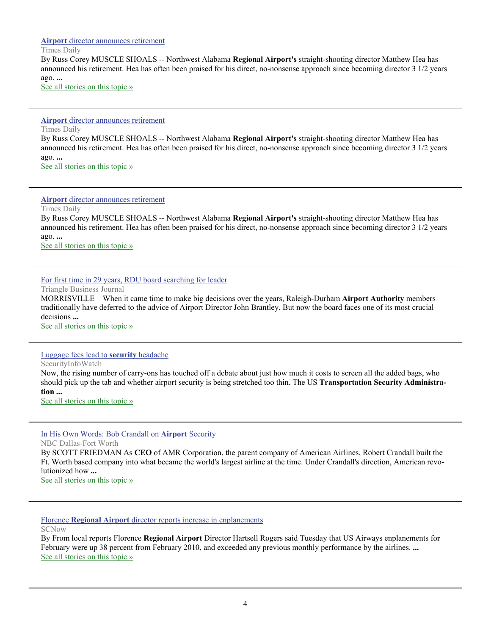#### **Airport** [director announces retirement](http://www.google.com/url?sa=X&q=http://www.timesdaily.com/article/20110328/NEWS/110329783%3FTitle%3DAirport-director-announces-retirement&ct=ga&cad=CAEQARgAIAAoATAAOABA0PTE7ARIAVAAWABiAmVu&cd=K7lLv7o9A-g&usg=AFQjCNHxfMwFdcVa76aBlDX6Vr6TRqer3Q)

#### Times Daily

By Russ Corey MUSCLE SHOALS -- Northwest Alabama **Regional Airport's** straight-shooting director Matthew Hea has announced his retirement. Hea has often been praised for his direct, no-nonsense approach since becoming director 3 1/2 years ago. **...**

[See all stories on this topic »](http://www.google.com/url?sa=X&q=http://news.google.com/news/story%3Fncl%3Dhttp://www.timesdaily.com/article/20110328/NEWS/110329783%253FTitle%253DAirport-director-announces-retirement%26hl%3Den%26geo%3Dus&ct=ga&cad=CAEQARgAIAAoBjAAOABA0PTE7ARIAVAAWABiAmVu&cd=K7lLv7o9A-g&usg=AFQjCNEPGcK7htXNn4S5XhpjattieSyt9A)

#### **Airport** [director announces retirement](http://www.google.com/url?sa=X&q=http://www.timesdaily.com/article/20110328/NEWS/110329783%3FTitle%3DAirport-director-announces-retirement&ct=ga&cad=CAEQARgAIAAoATAAOABA0PTE7ARIAVAAWABiAmVu&cd=K7lLv7o9A-g&usg=AFQjCNHxfMwFdcVa76aBlDX6Vr6TRqer3Q)

Times Daily

By Russ Corey MUSCLE SHOALS -- Northwest Alabama **Regional Airport's** straight-shooting director Matthew Hea has announced his retirement. Hea has often been praised for his direct, no-nonsense approach since becoming director 3 1/2 years ago. **...** [See all stories on this topic »](http://www.google.com/url?sa=X&q=http://news.google.com/news/story%3Fncl%3Dhttp://www.timesdaily.com/article/20110328/NEWS/110329783%253FTitle%253DAirport-director-announces-retirement%26hl%3Den%26geo%3Dus&ct=ga&cad=CAEQARgAIAAoBjAAOABA0PTE7ARIAVAAWABiAmVu&cd=K7lLv7o9A-g&usg=AFQjCNEPGcK7htXNn4S5XhpjattieSyt9A)

**Airport** [director announces retirement](http://www.google.com/url?sa=X&q=http://www.timesdaily.com/article/20110328/NEWS/110329783%3FTitle%3DAirport-director-announces-retirement&ct=ga&cad=CAEQARgAIAAoATAAOABA0PTE7ARIAVAAWABiAmVu&cd=K7lLv7o9A-g&usg=AFQjCNHxfMwFdcVa76aBlDX6Vr6TRqer3Q)

Times Daily

By Russ Corey MUSCLE SHOALS -- Northwest Alabama **Regional Airport's** straight-shooting director Matthew Hea has announced his retirement. Hea has often been praised for his direct, no-nonsense approach since becoming director 3 1/2 years ago. **...**

[See all stories on this topic »](http://www.google.com/url?sa=X&q=http://news.google.com/news/story%3Fncl%3Dhttp://www.timesdaily.com/article/20110328/NEWS/110329783%253FTitle%253DAirport-director-announces-retirement%26hl%3Den%26geo%3Dus&ct=ga&cad=CAEQARgAIAAoBjAAOABA0PTE7ARIAVAAWABiAmVu&cd=K7lLv7o9A-g&usg=AFQjCNEPGcK7htXNn4S5XhpjattieSyt9A)

#### [For first time in 29 years, RDU board searching for leader](http://www.google.com/url?sa=X&q=http://www.bizjournals.com/triangle/print-edition/2011/04/01/for-first-time-in-29-years-rdu-board.html&ct=ga&cad=CAEQARgAIAAoATAAOABAlOjY7ARIAVAAWABiAmVu&cd=C4rrzxtWLZQ&usg=AFQjCNE_s1SsiZhTruDvgdFS_R3nGZFrIg)

Triangle Business Journal

MORRISVILLE – When it came time to make big decisions over the years, Raleigh-Durham **Airport Authority** members traditionally have deferred to the advice of Airport Director John Brantley. But now the board faces one of its most crucial decisions **...**

[See all stories on this topic »](http://www.google.com/url?sa=X&q=http://news.google.com/news/story%3Fncl%3Dhttp://www.bizjournals.com/triangle/print-edition/2011/04/01/for-first-time-in-29-years-rdu-board.html%26hl%3Den%26geo%3Dus&ct=ga&cad=CAEQARgAIAAoBjAAOABAlOjY7ARIAVAAWABiAmVu&cd=C4rrzxtWLZQ&usg=AFQjCNEHC8c7UACtCQhZjMumCwVpQ7J7TQ)

#### [Luggage fees lead to](http://www.google.com/url?sa=X&q=http://www.securityinfowatch.com/node/1320244&ct=ga&cad=CAEQARgAIAAoATAAOABA5qLO7ARIAVAAWABiAmVu&cd=2wxTc8mzkE4&usg=AFQjCNHjN8Se7j2TDOn670jtlMR1nkiJkQ) **security** headache

SecurityInfoWatch

Now, the rising number of carry-ons has touched off a debate about just how much it costs to screen all the added bags, who should pick up the tab and whether airport security is being stretched too thin. The US **Transportation Security Administration ...**

[See all stories on this topic »](http://www.google.com/url?sa=X&q=http://news.google.com/news/story%3Fncl%3Dhttp://www.securityinfowatch.com/node/1320244%26hl%3Den%26geo%3Dus&ct=ga&cad=CAEQARgAIAAoBjAAOABA5qLO7ARIAVAAWABiAmVu&cd=2wxTc8mzkE4&usg=AFQjCNEyBYhITZis5UDeS_lcAFD6hWtTNw)

#### [In His Own Words: Bob Crandall on](http://www.google.com/url?sa=X&q=http://www.nbcdfw.com/news/local/118656294.html&ct=ga&cad=CAEQAhgAIAAoATABOAFA0Y_F7ARIAVAAWABiAmVu&cd=KvKrlJ3g2VU&usg=AFQjCNGydlev_Cb3QKUxUGLwKZvp3xIyiA) **Airport** Security

NBC Dallas-Fort Worth

By SCOTT FRIEDMAN As **CEO** of AMR Corporation, the parent company of American Airlines, Robert Crandall built the Ft. Worth based company into what became the world's largest airline at the time. Under Crandall's direction, American revolutionized how **...**

[See all stories on this topic »](http://www.google.com/url?sa=X&q=http://news.google.com/news/story%3Fncl%3Dhttp://www.nbcdfw.com/news/local/118656294.html%26hl%3Den%26geo%3Dus&ct=ga&cad=CAEQAhgAIAAoBjABOAFA0Y_F7ARIAVAAWABiAmVu&cd=KvKrlJ3g2VU&usg=AFQjCNGmJkTUDU7BFSy-CR1RQwZWaQGDNQ)

Florence **Regional Airport** [director reports increase in enplanements](http://www.google.com/url?sa=X&q=http://www2.scnow.com/news/pee-dee/2011/mar/29/florence-regional-airport-director-reports-increas-ar-1645030/&ct=ga&cad=CAEQARgAIAAoATABOAFA8P7J7ARIAVAAWABiAmVu&cd=xL8kbWU87Cs&usg=AFQjCNFN4946U-4-SGEKkquscfwESYh0FA)

**SCNow** 

By From local reports Florence **Regional Airport** Director Hartsell Rogers said Tuesday that US Airways enplanements for February were up 38 percent from February 2010, and exceeded any previous monthly performance by the airlines. **...** [See all stories on this topic »](http://www.google.com/url?sa=X&q=http://news.google.com/news/story%3Fncl%3Dhttp://www2.scnow.com/news/pee-dee/2011/mar/29/florence-regional-airport-director-reports-increas-ar-1645030/%26hl%3Den%26geo%3Dus&ct=ga&cad=CAEQARgAIAAoBjABOAFA8P7J7ARIAVAAWABiAmVu&cd=xL8kbWU87Cs&usg=AFQjCNEA7UvwF018z8A5PAeVhsPYB6MJDw)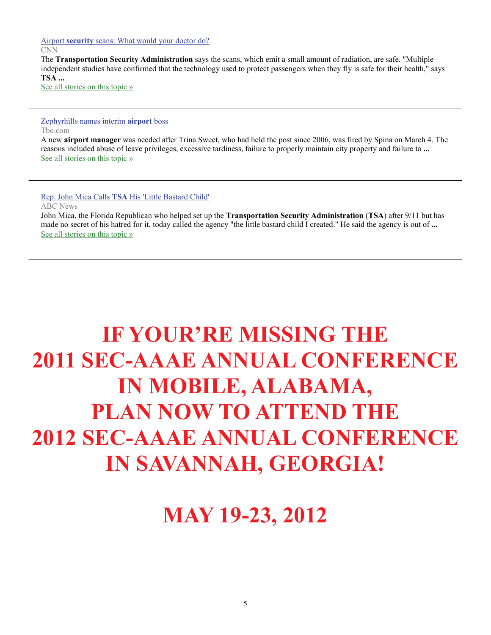Airport **security** [scans: What would your doctor do?](http://www.google.com/url?sa=X&q=http://www.cnn.com/2011/HEALTH/03/31/ep.airport.scanners/&ct=ga&cad=CAEQARgAIAAoATAAOABAo-fR7ARIAVAAWABiAmVu&cd=S6rs9oNWrXo&usg=AFQjCNF77mk0_iCZVZNJ98-Fa6k-r4edbQ)

CNN

The **Transportation Security Administration** says the scans, which emit a small amount of radiation, are safe. "Multiple independent studies have confirmed that the technology used to protect passengers when they fly is safe for their health," says **TSA ...**

[See all stories on this topic »](http://www.google.com/url?sa=X&q=http://news.google.com/news/story%3Fncl%3Dhttp://www.cnn.com/2011/HEALTH/03/31/ep.airport.scanners/%26hl%3Den%26geo%3Dus&ct=ga&cad=CAEQARgAIAAoBjAAOABAo-fR7ARIAVAAWABiAmVu&cd=S6rs9oNWrXo&usg=AFQjCNHr4gg1fXtvxDIq0uDffNfAl5d4uA)

#### [Zephyrhills names interim](http://www.google.com/url?sa=X&q=http://www2.tbo.com/content/2011/mar/30/PANEWSO1-zephyrhills-names-interim-airport-boss/&ct=ga&cad=CAEQAhgAIAAoATACOAJAk9TO7ARIAVAAWABiAmVu&cd=eR9rZKAmgyU&usg=AFQjCNHpc9-VtK0CKijS12QvaU9h42coNA) **airport** boss

Tbo.com

A new **airport manager** was needed after Trina Sweet, who had held the post since 2006, was fired by Spina on March 4. The reasons included abuse of leave privileges, excessive tardiness, failure to properly maintain city property and failure to **...** [See all stories on this topic »](http://www.google.com/url?sa=X&q=http://news.google.com/news/story%3Fncl%3Dhttp://www2.tbo.com/content/2011/mar/30/PANEWSO1-zephyrhills-names-interim-airport-boss/%26hl%3Den%26geo%3Dus&ct=ga&cad=CAEQAhgAIAAoBjACOAJAk9TO7ARIAVAAWABiAmVu&cd=eR9rZKAmgyU&usg=AFQjCNE9ebRP-RvV3JTYzYDi7mLx7DRTRA)

#### Rep. John Mica Calls **TSA** [His 'Little Bastard Child'](http://www.google.com/url?sa=X&q=http://abcnews.go.com/Politics/rep-john-mica-calls-tsa-bastard-child-transportation/story%3Fid%3D13258609&ct=ga&cad=CAEQARgAIAAoATAAOABA0dTO7ARIAVAAWABiAmVu&cd=kPpgJFi59-Y&usg=AFQjCNHGXh0qhk-wbuUtuUHwGx_NawXvmw)

ABC News

John Mica, the Florida Republican who helped set up the **Transportation Security Administration** (**TSA**) after 9/11 but has made no secret of his hatred for it, today called the agency "the little bastard child I created." He said the agency is out of **...** [See all stories on this topic »](http://www.google.com/url?sa=X&q=http://news.google.com/news/story%3Fncl%3Dhttp://abcnews.go.com/Politics/rep-john-mica-calls-tsa-bastard-child-transportation/story%253Fid%253D13258609%26hl%3Den%26geo%3Dus&ct=ga&cad=CAEQARgAIAAoBjAAOABA0dTO7ARIAVAAWABiAmVu&cd=kPpgJFi59-Y&usg=AFQjCNFB7_s6sUehVyN4xd6dUb662PYSyw)

## **IF YOUR'RE MISSING THE 2011 SEC-AAAE ANNUAL CONFERENCE IN MOBILE, ALABAMA, PLAN NOW TO ATTEND THE 2012 SEC-AAAE ANNUAL CONFERENCE IN SAVANNAH, GEORGIA!**

**MAY 19-23, 2012**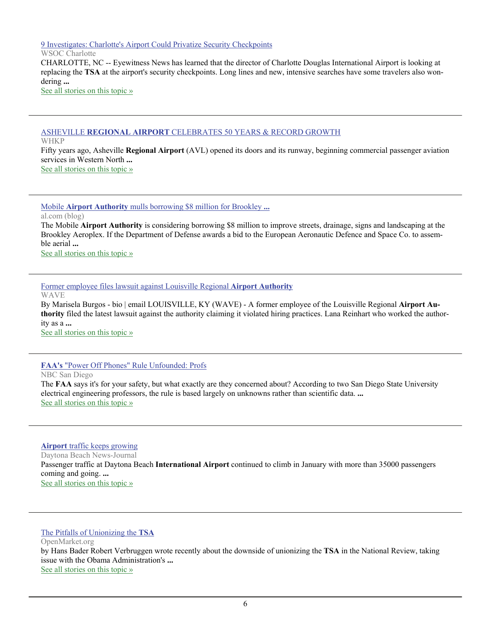[9 Investigates: Charlotte's Airport Could Privatize Security Checkpoints](http://www.google.com/url?sa=X&q=http://www.wsoctv.com/news/26861865/detail.html&ct=ga&cad=CAEQARgAIAAoATAAOABAt5_n6gRIAVAAWABiAmVu&cd=Kf6TciF-LwY&usg=AFQjCNF-4oGesmf9rj4wLJnpdHsffujesw)

WSOC Charlotte

CHARLOTTE, NC -- Eyewitness News has learned that the director of Charlotte Douglas International Airport is looking at replacing the **TSA** at the airport's security checkpoints. Long lines and new, intensive searches have some travelers also wondering **...**

[See all stories on this topic »](http://www.google.com/url?sa=X&q=http://news.google.com/news/story%3Fncl%3Dhttp://www.wsoctv.com/news/26861865/detail.html%26hl%3Den%26geo%3Dus&ct=ga&cad=CAEQARgAIAAoBjAAOABAt5_n6gRIAVAAWABiAmVu&cd=Kf6TciF-LwY&usg=AFQjCNHG7l0JjOxnbeoYVQLiz3qKovGbZQ)

#### ASHEVILLE **REGIONAL AIRPORT** [CELEBRATES 50 YEARS & RECORD GROWTH](http://www.google.com/url?sa=X&q=http://www.whkp.com/index.php%3Foption%3Dcom_content%26task%3Dview%26id%3D5377&ct=ga&cad=CAEQARgAIAAoATAAOABA9ITm6gRIAVAAWABiAmVu&cd=7YNQd8WPpuQ&usg=AFQjCNHaXxu1v4SK84BpvI_oDPTDKIKr6Q)

WHKP

Fifty years ago, Asheville **Regional Airport** (AVL) opened its doors and its runway, beginning commercial passenger aviation services in Western North **...**

[See all stories on this topic »](http://www.google.com/url?sa=X&q=http://news.google.com/news/story%3Fncl%3Dhttp://www.whkp.com/index.php%253Foption%253Dcom_content%2526task%253Dview%2526id%253D5377%26hl%3Den%26geo%3Dus&ct=ga&cad=CAEQARgAIAAoBjAAOABA9ITm6gRIAVAAWABiAmVu&cd=7YNQd8WPpuQ&usg=AFQjCNHlFOGJTc-4AuIXF7XC4vB3iq5hXQ)

Mobile **Airport Authority** [mulls borrowing \\$8 million for Brookley](http://www.google.com/url?sa=X&q=http://blog.al.com/live/2011/02/mobile_airport_authority_mulls.html&ct=ga&cad=CAEQARgAIAAoATAAOABAtfeO6wRIAVAAWABiAmVu&cd=SIGmJLCggl4&usg=AFQjCNHmwoDW_gtnMxXPSq6jQ7NRo5r-Bw) **...**

al.com (blog)

The Mobile **Airport Authority** is considering borrowing \$8 million to improve streets, drainage, signs and landscaping at the Brookley Aeroplex. If the Department of Defense awards a bid to the European Aeronautic Defence and Space Co. to assemble aerial **...**

[See all stories on this topic »](http://www.google.com/url?sa=X&q=http://news.google.com/news/story%3Fncl%3Dhttp://blog.al.com/live/2011/02/mobile_airport_authority_mulls.html%26hl%3Den%26geo%3Dus&ct=ga&cad=CAEQARgAIAAoBjAAOABAtfeO6wRIAVAAWABiAmVu&cd=SIGmJLCggl4&usg=AFQjCNHjrTZvJbgr-rdkUNiGMGB1mGpwEw)

[Former employee files lawsuit against Louisville Regional](http://www.google.com/url?sa=X&q=http://www.wave3.com/story/14089341/former-employee-files-lawsuit-against-louisville-regional-airport-authority&ct=ga&cad=CAEQARgAIAAoATAAOABArtuX6wRIAVAAWABiAmVu&cd=NPDmZ36wmBs&usg=AFQjCNG6AQoD_JNB-byZsYs3w_MGelhG9g) **Airport Authority**

WAVE

By Marisela Burgos - bio | email LOUISVILLE, KY (WAVE) - A former employee of the Louisville Regional **Airport Authority** filed the latest lawsuit against the authority claiming it violated hiring practices. Lana Reinhart who worked the authority as a **...**

[See all stories on this topic »](http://www.google.com/url?sa=X&q=http://news.google.com/news/story%3Fncl%3Dhttp://www.wave3.com/story/14089341/former-employee-files-lawsuit-against-louisville-regional-airport-authority%26hl%3Den%26geo%3Dus&ct=ga&cad=CAEQARgAIAAoBjAAOABArtuX6wRIAVAAWABiAmVu&cd=NPDmZ36wmBs&usg=AFQjCNFxxgxZ9YfVZWNp7HXOtrlXjAdLiw)

#### **FAA's** ["Power Off Phones" Rule Unfounded: Profs](http://www.google.com/url?sa=X&q=http://www.nbcsandiego.com/news/tech/FAAs-Power-Off-Phones-Rule-Unfounded-Profs-116649524.html&ct=ga&cad=CAcQARgAIAAoATAAOABAmpSP6wRIAVAAWABiBWVuLVVT&cd=HBCU-c-Vhx4&usg=AFQjCNFGOxnslENjjIJ0H5exdcJSCrF7ig)

NBC San Diego

The **FAA** says it's for your safety, but what exactly are they concerned about? According to two San Diego State University electrical engineering professors, the rule is based largely on unknowns rather than scientific data. **...** [See all stories on this topic »](http://www.google.com/url?sa=X&q=http://news.google.com/news/story%3Fncl%3Dhttp://www.nbcsandiego.com/news/tech/FAAs-Power-Off-Phones-Rule-Unfounded-Profs-116649524.html%26hl%3Den%26geo%3Dus&ct=ga&cad=CAcQARgAIAAoBjAAOABAmpSP6wRIAVAAWABiBWVuLVVT&cd=HBCU-c-Vhx4&usg=AFQjCNGZ8tgJ2rwTKPa-uC2OViwa8s1rqQ)

#### **Airport** [traffic keeps growing](http://www.google.com/url?sa=X&q=http://www.news-journalonline.com/business/local-business/2011/02/12/airport-traffic-keeps-growing.html&ct=ga&cad=CAEQARgAIAAoATAAOABAwYHZ6gRIAVAAWABiAmVu&cd=By_KEtiLy6E&usg=AFQjCNE-LflHBHlOb9hiqd2jbLryoaThzA)

Daytona Beach News-Journal Passenger traffic at Daytona Beach **International Airport** continued to climb in January with more than 35000 passengers coming and going. **...** [See all stories on this topic »](http://www.google.com/url?sa=X&q=http://news.google.com/news/story%3Fncl%3Dhttp://www.news-journalonline.com/business/local-business/2011/02/12/airport-traffic-keeps-growing.html%26hl%3Den%26geo%3Dus&ct=ga&cad=CAEQARgAIAAoBjAAOABAwYHZ6gRIAVAAWABiAmVu&cd=By_KEtiLy6E&usg=AFQjCNFgQT99TfuHzVk0zvNCDBEyTA0WKw)

#### [The Pitfalls of Unionizing the](http://www.google.com/url?sa=X&q=http://www.openmarket.org/2011/02/12/the-pitfalls-of-unionizing-the-tsa/&ct=ga&cad=CAEQARgAIAAoATAAOABA1vrb6gRIAVAAWABiAmVu&cd=xO-aF45O9Hk&usg=AFQjCNFfa9RDhe64ABpqywPpOqHKXe6O_w) **TSA**

OpenMarket.org

by Hans Bader Robert Verbruggen wrote recently about the downside of unionizing the **TSA** in the National Review, taking issue with the Obama Administration's **...** [See all stories on this topic »](http://www.google.com/url?sa=X&q=http://news.google.com/news/story%3Fncl%3Dhttp://www.openmarket.org/2011/02/12/the-pitfalls-of-unionizing-the-tsa/%26hl%3Den%26geo%3Dus&ct=ga&cad=CAEQARgAIAAoBjAAOABA1vrb6gRIAVAAWABiAmVu&cd=xO-aF45O9Hk&usg=AFQjCNFpSV8rRFoewq-PrOWxJeUYa_GElQ)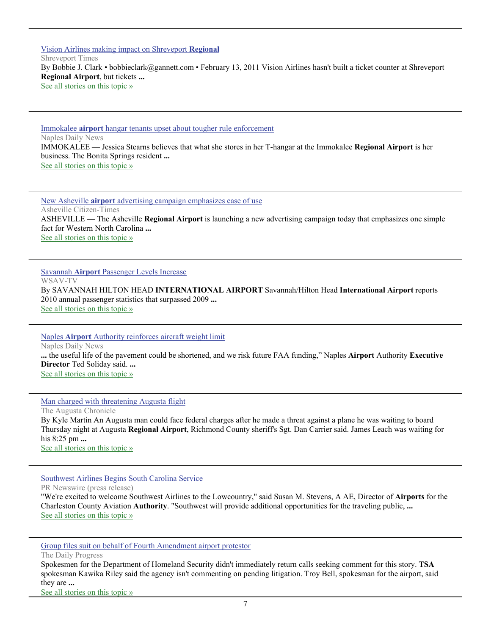[Vision Airlines making impact on Shreveport](http://www.google.com/url?sa=X&q=http://www.shreveporttimes.com/article/20110213/NEWS05/102130317/Vision-Airlines-making-impact-on-Shreveport-Regional&ct=ga&cad=CAEQARgAIAAoATAAOABAu7fe6gRIAVAAWABiAmVu&cd=-uYl-q2-SoA&usg=AFQjCNG8wutGsx7uQqoxZVurovEH6bFxZg) **Regional** Shreveport Times By Bobbie J. Clark • bobbieclark@gannett.com • February 13, 2011 Vision Airlines hasn't built a ticket counter at Shreveport **Regional Airport**, but tickets **...** [See all stories on this topic »](http://www.google.com/url?sa=X&q=http://news.google.com/news/story%3Fncl%3Dhttp://www.shreveporttimes.com/article/20110213/NEWS05/102130317/Vision-Airlines-making-impact-on-Shreveport-Regional%26hl%3Den%26geo%3Dus&ct=ga&cad=CAEQARgAIAAoBjAAOABAu7fe6gRIAVAAWABiAmVu&cd=-uYl-q2-SoA&usg=AFQjCNFJZVMlPnvlG0XoFByB3vadvj9ETg)

Immokalee **airport** [hangar tenants upset about tougher rule enforcement](http://www.google.com/url?sa=X&q=http://www.naplesnews.com/news/2011/feb/13/immokalee-airport-chris-curry-hangar-rules-enforce/&ct=ga&cad=CAEQARgAIAAoATAAOABAjNLg6gRIAVAAWABiAmVu&cd=46FFPmYiwUY&usg=AFQjCNHS7ME9MPJpgL3D2_c_42jNkKMugg) Naples Daily News IMMOKALEE — Jessica Stearns believes that what she stores in her T-hangar at the Immokalee **Regional Airport** is her business. The Bonita Springs resident **...** [See all stories on this topic »](http://www.google.com/url?sa=X&q=http://news.google.com/news/story%3Fncl%3Dhttp://www.naplesnews.com/news/2011/feb/13/immokalee-airport-chris-curry-hangar-rules-enforce/%26hl%3Den%26geo%3Dus&ct=ga&cad=CAEQARgAIAAoBjAAOABAjNLg6gRIAVAAWABiAmVu&cd=46FFPmYiwUY&usg=AFQjCNECXM-QC0YdQSOSTA8tiBWjtlpCgA)

New Asheville **airport** [advertising campaign emphasizes ease of use](http://www.google.com/url?sa=X&q=http://www.citizen-times.com/article/20110214/NEWS/302140024/Airport-ad-campaign-emphasizes-ease-use%3Fodyssey%3Dmod%257Cnewswell%257Ctext%257CFrontpage%257Cp&ct=ga&cad=CAEQARgAIAAoATAAOABA7YDj6gRIAVAAWABiAmVu&cd=7k_QuPrIsko&usg=AFQjCNFFxd3QU7_YHbPlE11gKsb6sAZ5Uw) Asheville Citizen-Times ASHEVILLE — The Asheville **Regional Airport** is launching a new advertising campaign today that emphasizes one simple fact for Western North Carolina **...** [See all stories on this topic »](http://www.google.com/url?sa=X&q=http://news.google.com/news/story%3Fncl%3Dhttp://www.citizen-times.com/article/20110214/NEWS/302140024/Airport-ad-campaign-emphasizes-ease-use%253Fodyssey%253Dmod%25257Cnewswell%25257Ctext%25257CFrontpage%25257Cp%26hl%3Den%26geo%3Dus&ct=ga&cad=CAEQARgAIAAoBjAAOABA7YDj6gRIAVAAWABiAmVu&cd=7k_QuPrIsko&usg=AFQjCNHV92FJjXqmhIISbzKJ1oGj9xLgPQ)

Savannah **Airport** [Passenger Levels Increase](http://www.google.com/url?sa=X&q=http://www2.wsav.com/news/2011/feb/11/savannah-airport-passenger-levels-increase-ar-1452819/&ct=ga&cad=CAEQARgAIAAoATAAOABA4ObW6gRIAVAAWABiAmVu&cd=QQW6Gu9RX1w&usg=AFQjCNFRpMf2SE3l0SahEv1FqGUzRb5qlw) WSAV-TV By SAVANNAH HILTON HEAD **INTERNATIONAL AIRPORT** Savannah/Hilton Head **International Airport** reports 2010 annual passenger statistics that surpassed 2009 **...** [See all stories on this topic »](http://www.google.com/url?sa=X&q=http://news.google.com/news/story%3Fncl%3Dhttp://www2.wsav.com/news/2011/feb/11/savannah-airport-passenger-levels-increase-ar-1452819/%26hl%3Den%26geo%3Dus&ct=ga&cad=CAEQARgAIAAoBjAAOABA4ObW6gRIAVAAWABiAmVu&cd=QQW6Gu9RX1w&usg=AFQjCNEzbTw71MfK0ygOxZ7Cw6o_AkUF5A)

Naples **Airport** [Authority reinforces aircraft weight limit](http://www.google.com/url?sa=X&q=http://www.naplesnews.com/news/2011/feb/11/naples-airport-authority-reinforces-aircraft-weigh/&ct=ga&cad=CAEQAhgAIAAoATACOAJAmc7V6gRIAVAAWABiAmVu&cd=63MUDhtf8Ac&usg=AFQjCNH2kxR1AsPcVkNgHCiZHRv2aM5UpA) Naples Daily News **...** the useful life of the pavement could be shortened, and we risk future FAA funding," Naples **Airport** Authority **Executive Director** Ted Soliday said. **...** [See all stories on this topic »](http://www.google.com/url?sa=X&q=http://news.google.com/news/story%3Fncl%3Dhttp://www.naplesnews.com/news/2011/feb/11/naples-airport-authority-reinforces-aircraft-weigh/%26hl%3Den%26geo%3Dus&ct=ga&cad=CAEQAhgAIAAoBjACOAJAmc7V6gRIAVAAWABiAmVu&cd=63MUDhtf8Ac&usg=AFQjCNG6wk1XPOvYQeh6lhnTpdGIXUYt3g)

#### [Man charged with threatening Augusta flight](http://www.google.com/url?sa=X&q=http://chronicle.augusta.com/latest-news/2011-03-10/man-charged-threatening-augusta-flight&ct=ga&cad=CAEQARgAIAAoATACOAJAzM7m6wRIAVAAWABiAmVu&cd=ZPZTxyxYd9w&usg=AFQjCNHCD9oSC6b1zVG49EVp3CZA750tqw)

The Augusta Chronicle By Kyle Martin An Augusta man could face federal charges after he made a threat against a plane he was waiting to board Thursday night at Augusta **Regional Airport**, Richmond County sheriff's Sgt. Dan Carrier said. James Leach was waiting for his 8:25 pm **...** [See all stories on this topic »](http://www.google.com/url?sa=X&q=http://news.google.com/news/story%3Fncl%3Dhttp://chronicle.augusta.com/latest-news/2011-03-10/man-charged-threatening-augusta-flight%26hl%3Den%26geo%3Dus&ct=ga&cad=CAEQARgAIAAoBjACOAJAzM7m6wRIAVAAWABiAmVu&cd=ZPZTxyxYd9w&usg=AFQjCNFkGKg910Fv5Ctvh6NKhP95yYr0iQ)

#### [Southwest Airlines Begins South Carolina Service](http://www.google.com/url?sa=X&q=http://www.prnewswire.com/news-releases/southwest-airlines-begins-south-carolina-service-117927324.html&ct=ga&cad=CAEQARgAIAAoATACOAJAn7z46wRIAVAAWABiAmVu&cd=E9aggv3ln_0&usg=AFQjCNGQFNchzTYfupFc75LWeKa0n3h3Qw)

PR Newswire (press release)

"We're excited to welcome Southwest Airlines to the Lowcountry," said Susan M. Stevens, A AE, Director of **Airports** for the Charleston County Aviation **Authority**. "Southwest will provide additional opportunities for the traveling public, **...** [See all stories on this topic »](http://www.google.com/url?sa=X&q=http://news.google.com/news/story%3Fncl%3Dhttp://www.prnewswire.com/news-releases/southwest-airlines-begins-south-carolina-service-117927324.html%26hl%3Den%26geo%3Dus&ct=ga&cad=CAEQARgAIAAoBjACOAJAn7z46wRIAVAAWABiAmVu&cd=E9aggv3ln_0&usg=AFQjCNG7t4Ofq0LrhBe7Wau_GtuSAo0URw)

[Group files suit on behalf of Fourth Amendment airport protestor](http://www.google.com/url?sa=X&q=http://www2.dailyprogress.com/news/2011/mar/10/group-files-suit-behalf-fourth-amendment-airport-p-ar-897763/&ct=ga&cad=CAEQARgAIAAoATABOAFA2rPm6wRIAVAAWABiAmVu&cd=0q-WKmg_yl0&usg=AFQjCNF-zQIV6AO0imadFXtd6qqtjqq09A)

The Daily Progress

Spokesmen for the Department of Homeland Security didn't immediately return calls seeking comment for this story. **TSA** spokesman Kawika Riley said the agency isn't commenting on pending litigation. Troy Bell, spokesman for the airport, said they are **...**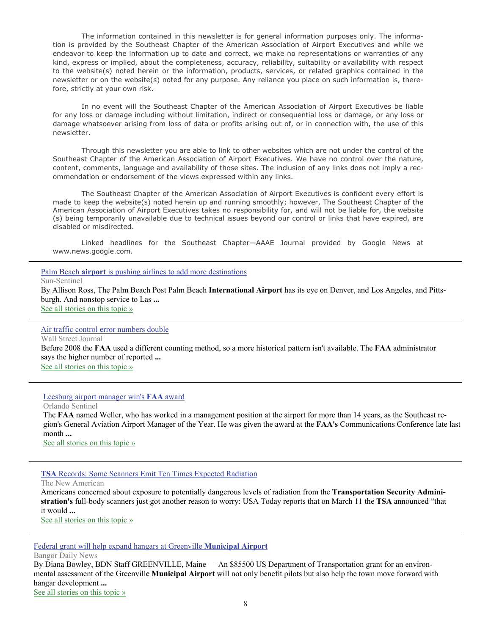The information contained in this newsletter is for general information purposes only. The information is provided by the Southeast Chapter of the American Association of Airport Executives and while we endeavor to keep the information up to date and correct, we make no representations or warranties of any kind, express or implied, about the completeness, accuracy, reliability, suitability or availability with respect to the website(s) noted herein or the information, products, services, or related graphics contained in the newsletter or on the website(s) noted for any purpose. Any reliance you place on such information is, therefore, strictly at your own risk.

 In no event will the Southeast Chapter of the American Association of Airport Executives be liable for any loss or damage including without limitation, indirect or consequential loss or damage, or any loss or damage whatsoever arising from loss of data or profits arising out of, or in connection with, the use of this newsletter.

 Through this newsletter you are able to link to other websites which are not under the control of the Southeast Chapter of the American Association of Airport Executives. We have no control over the nature, content, comments, language and availability of those sites. The inclusion of any links does not imply a recommendation or endorsement of the views expressed within any links.

 The Southeast Chapter of the American Association of Airport Executives is confident every effort is made to keep the website(s) noted herein up and running smoothly; however, The Southeast Chapter of the American Association of Airport Executives takes no responsibility for, and will not be liable for, the website (s) being temporarily unavailable due to technical issues beyond our control or links that have expired, are disabled or misdirected.

 Linked headlines for the Southeast Chapter—AAAE Journal provided by Google News at www.news.google.com.

Palm Beach **airport** [is pushing airlines to add more destinations](http://www.google.com/url?sa=X&q=http://www.sun-sentinel.com/business/fl-palm-beach-airport-20110210,0,4239234.story&ct=ga&cad=CAEQARgAIAAoATAAOABAxNTR6gRIAVAAWABiAmVu&cd=s-9RusrL_10&usg=AFQjCNFmXsg7bobWoj5-vtrvK_u59n2cVg)

Sun-Sentinel

By Allison Ross, The Palm Beach Post Palm Beach **International Airport** has its eye on Denver, and Los Angeles, and Pittsburgh. And nonstop service to Las **...** [See all stories on this topic »](http://www.google.com/url?sa=X&q=http://news.google.com/news/story%3Fncl%3Dhttp://www.sun-sentinel.com/business/fl-palm-beach-airport-20110210,0,4239234.story%26hl%3Den%26geo%3Dus&ct=ga&cad=CAEQARgAIAAoBjAAOABAxNTR6gRIAVAAWABiAmVu&cd=s-9RusrL_10&usg=AFQjCNEucN_lHa68e_PNUrU1_v2X2R7DMg)

#### [Air traffic control error numbers double](http://www.google.com/url?sa=X&q=http://online.wsj.com/article/AP0f121d6d474f4a77b8de6b66b33dd266.html&ct=ga&cad=CAcQARgAIAAoATAAOABAtorU6gRIAVAAWABiBWVuLVVT&cd=lVPBPb9Dvvk&usg=AFQjCNF-RHHohK34Y8N7Q5zYpR8ILeikZQ)

Wall Street Journal

Before 2008 the **FAA** used a different counting method, so a more historical pattern isn't available. The **FAA** administrator says the higher number of reported **...** [See all stories on this topic »](http://www.google.com/url?sa=X&q=http://news.google.com/news/story%3Fncl%3Dhttp://online.wsj.com/article/AP0f121d6d474f4a77b8de6b66b33dd266.html%26hl%3Den%26geo%3Dus&ct=ga&cad=CAcQARgAIAAoBjAAOABAtorU6gRIAVAAWABiBWVuLVVT&cd=lVPBPb9Dvvk&usg=AFQjCNGR1ADp9GuaG6wEa1EBScE9Ruc_zw)

Leesburg airport manager win's **FAA** award

Orlando Sentinel

The **FAA** named Weller, who has worked in a management position at the airport for more than 14 years, as the Southeast region's General Aviation Airport Manager of the Year. He was given the award at the **FAA's** Communications Conference late last month **...**

See all stories on this topic »

#### **TSA** [Records: Some Scanners Emit Ten Times Expected Radiation](http://www.google.com/url?sa=X&q=http://www.thenewamerican.com/index.php/usnews/constitution/6681-tsa-records-reveal-some-scanners-emit-ten-times-the-expected-radiation&ct=ga&cad=CAEQARgAIAAoATAAOABA38n46wRIAVAAWABiAmVu&cd=asfmpGRyZBE&usg=AFQjCNECXKpH1XN6b-QTLFQgxPUmjGjMpQ)

The New American

Americans concerned about exposure to potentially dangerous levels of radiation from the **Transportation Security Administration's** full-body scanners just got another reason to worry: USA Today reports that on March 11 the **TSA** announced "that it would **...**

[See all stories on this topic »](http://www.google.com/url?sa=X&q=http://news.google.com/news/story%3Fncl%3Dhttp://www.thenewamerican.com/index.php/usnews/constitution/6681-tsa-records-reveal-some-scanners-emit-ten-times-the-expected-radiation%26hl%3Den%26geo%3Dus&ct=ga&cad=CAEQARgAIAAoBjAAOABA38n46wRIAVAAWABiAmVu&cd=asfmpGRyZBE&usg=AFQjCNER45LGJ_MVOOXHZ4cfq5sptF6ANA)

[Federal grant will help expand hangars at Greenville](http://www.google.com/url?sa=X&q=http://new.bangordailynews.com/2011/03/10/news/piscataquis/federal-grant-will-help-expand-hangars-at-greenville-municipal-airport/%3Fref%3Dlatest&ct=ga&cad=CAEQARgAIAAoATAAOABAxdfl6wRIAVAAWABiAmVu&cd=Gq-jq6ns4JQ&usg=AFQjCNGHcRgYPFq_vOULVWUMOPN2zy2cqw) **Municipal Airport**

Bangor Daily News

By Diana Bowley, BDN Staff GREENVILLE, Maine — An \$85500 US Department of Transportation grant for an environmental assessment of the Greenville **Municipal Airport** will not only benefit pilots but also help the town move forward with hangar development **...**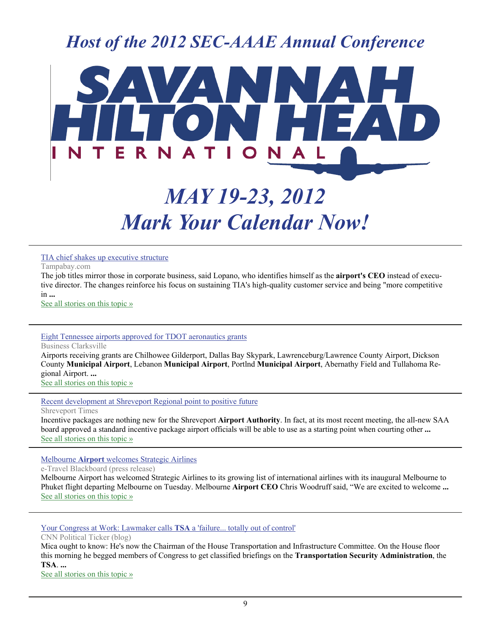### *Host of the 2012 SEC-AAAE Annual Conference*



## *MAY 19-23, 2012 Mark Your Calendar Now!*

#### [TIA chief shakes up executive structure](http://www.google.com/url?sa=X&q=http://www.tampabay.com/news/business/airlines/tampa-international-airport-ceo-lopano-shakes-up-top-management/1153509&ct=ga&cad=CAEQAhgAIAAoATAAOABA7JCX6wRIAVAAWABiAmVu&cd=EzYR3aeUfB4&usg=AFQjCNHZqcjagcNy4dFC7hgI5274kibRLQ)

Tampabay.com

The job titles mirror those in corporate business, said Lopano, who identifies himself as the **airport's CEO** instead of executive director. The changes reinforce his focus on sustaining TIA's high-quality customer service and being "more competitive in **...**

[See all stories on this topic »](http://www.google.com/url?sa=X&q=http://news.google.com/news/story%3Fncl%3Dhttp://www.tampabay.com/news/business/airlines/tampa-international-airport-ceo-lopano-shakes-up-top-management/1153509%26hl%3Den%26geo%3Dus&ct=ga&cad=CAEQAhgAIAAoBjAAOABA7JCX6wRIAVAAWABiAmVu&cd=EzYR3aeUfB4&usg=AFQjCNGQkBY_SF-zGY5NZag-7ZSwzXLRDw)

#### [Eight Tennessee airports approved for TDOT aeronautics grants](http://www.google.com/url?sa=X&q=http://businessclarksville.com/2011/02/23/eight-tennessee-airports-approved-for-tdot-aeronautics-grants/&ct=ga&cad=CAEQARgAIAAoATAAOABAjf2V6wRIAVAAWABiAmVu&cd=aQlA_QDN4-I&usg=AFQjCNHscWvuVhCMVgcyKth9m_yTe5daLA)

Business Clarksville

Airports receiving grants are Chilhowee Gilderport, Dallas Bay Skypark, Lawrenceburg/Lawrence County Airport, Dickson County **Municipal Airport**, Lebanon **Municipal Airport**, Portlnd **Municipal Airport**, Abernathy Field and Tullahoma Regional Airport. **...**

[See all stories on this topic »](http://www.google.com/url?sa=X&q=http://news.google.com/news/story%3Fncl%3Dhttp://businessclarksville.com/2011/02/23/eight-tennessee-airports-approved-for-tdot-aeronautics-grants/%26hl%3Den%26geo%3Dus&ct=ga&cad=CAEQARgAIAAoBjAAOABAjf2V6wRIAVAAWABiAmVu&cd=aQlA_QDN4-I&usg=AFQjCNHmdIeU_mzVCLgkMprJ0IyZuhAvrw)

[Recent development at Shreveport Regional point to positive future](http://www.google.com/url?sa=X&q=http://www.shreveporttimes.com/article/20110220/NEWS05/102200334/Recent-development-at-Shreveport-Regional-point-to-positive-future&ct=ga&cad=CAEQARgAIAAoATAAOABAxJ6D6wRIAVAAWABiAmVu&cd=4lXKJ4GdlDA&usg=AFQjCNHw28qE-JQOlrTX8W1upXWXgfOZdw)

Shreveport Times

Incentive packages are nothing new for the Shreveport **Airport Authority**. In fact, at its most recent meeting, the all-new SAA board approved a standard incentive package airport officials will be able to use as a starting point when courting other **...** [See all stories on this topic »](http://www.google.com/url?sa=X&q=http://news.google.com/news/story%3Fncl%3Dhttp://www.shreveporttimes.com/article/20110220/NEWS05/102200334/Recent-development-at-Shreveport-Regional-point-to-positive-future%26hl%3Den%26geo%3Dus&ct=ga&cad=CAEQARgAIAAoBjAAOABAxJ6D6wRIAVAAWABiAmVu&cd=4lXKJ4GdlDA&usg=AFQjCNGfajd4JwHdvd7Fd2Q7pnWO2dsH0g)

Melbourne **Airport** [welcomes Strategic Airlines](http://www.google.com/url?sa=X&q=http://www.etravelblackboard.com/article/115346/melbourne-airport-welcomes-strategic-airlines&ct=ga&cad=CAEQAhgAIAAoATABOAFA7JCX6wRIAVAAWABiAmVu&cd=EzYR3aeUfB4&usg=AFQjCNFiABf3tE2Fevp6N0gb9cVSFq6pcw)

e-Travel Blackboard (press release)

Melbourne Airport has welcomed Strategic Airlines to its growing list of international airlines with its inaugural Melbourne to Phuket flight departing Melbourne on Tuesday. Melbourne **Airport CEO** Chris Woodruff said, "We are excited to welcome **...** [See all stories on this topic »](http://www.google.com/url?sa=X&q=http://news.google.com/news/story%3Fncl%3Dhttp://www.etravelblackboard.com/article/115346/melbourne-airport-welcomes-strategic-airlines%26hl%3Den%26geo%3Dus&ct=ga&cad=CAEQAhgAIAAoBjABOAFA7JCX6wRIAVAAWABiAmVu&cd=EzYR3aeUfB4&usg=AFQjCNHoWjQI33YMEev_2LePNjRxrZymqA)

[Your Congress at Work: Lawmaker calls](http://www.google.com/url?sa=X&q=http://politicalticker.blogs.cnn.com/2011/02/17/your-congress-at-work-lawmaker-calls-tsa-a-failure-totally-out-of-control/&ct=ga&cad=CAEQARgAIAAoATACOAJAqOf16gRIAVAAWABiAmVu&cd=Q_h_PXkyrZQ&usg=AFQjCNE1MtFhUbJoKU2OccqcLl-EjapntA) **TSA** a 'failure... totally out of control'

CNN Political Ticker (blog)

Mica ought to know: He's now the Chairman of the House Transportation and Infrastructure Committee. On the House floor this morning he begged members of Congress to get classified briefings on the **Transportation Security Administration**, the **TSA**. **...**